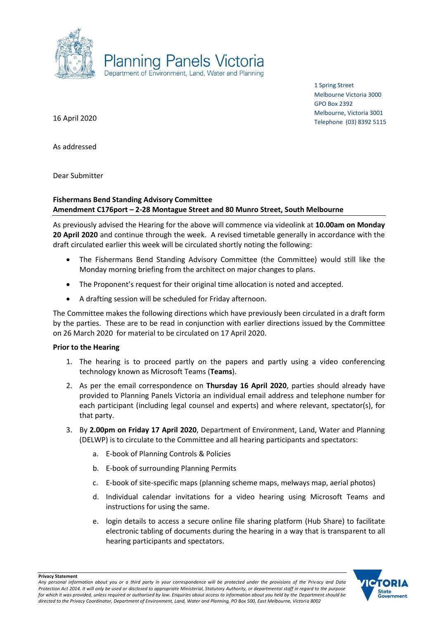

1 Spring Street Melbourne Victoria 3000 GPO Box 2392 Melbourne, Victoria 3001 Telephone (03) 8392 5115

16 April 2020

As addressed

Dear Submitter

## **Fishermans Bend Standing Advisory Committee Amendment C176port – 2-28 Montague Street and 80 Munro Street, South Melbourne**

As previously advised the Hearing for the above will commence via videolink at **10.00am on Monday 20 April 2020** and continue through the week. A revised timetable generally in accordance with the draft circulated earlier this week will be circulated shortly noting the following:

- The Fishermans Bend Standing Advisory Committee (the Committee) would still like the Monday morning briefing from the architect on major changes to plans.
- The Proponent's request for their original time allocation is noted and accepted.
- A drafting session will be scheduled for Friday afternoon.

The Committee makes the following directions which have previously been circulated in a draft form by the parties. These are to be read in conjunction with earlier directions issued by the Committee on 26 March 2020 for material to be circulated on 17 April 2020.

## **Prior to the Hearing**

- 1. The hearing is to proceed partly on the papers and partly using a video conferencing technology known as Microsoft Teams (**Teams**).
- 2. As per the email correspondence on **Thursday 16 April 2020**, parties should already have provided to Planning Panels Victoria an individual email address and telephone number for each participant (including legal counsel and experts) and where relevant, spectator(s), for that party.
- 3. By **2.00pm on Friday 17 April 2020**, Department of Environment, Land, Water and Planning (DELWP) is to circulate to the Committee and all hearing participants and spectators:
	- a. E-book of Planning Controls & Policies
	- b. E-book of surrounding Planning Permits
	- c. E-book of site-specific maps (planning scheme maps, melways map, aerial photos)
	- d. Individual calendar invitations for a video hearing using Microsoft Teams and instructions for using the same.
	- e. login details to access a secure online file sharing platform (Hub Share) to facilitate electronic tabling of documents during the hearing in a way that is transparent to all hearing participants and spectators.

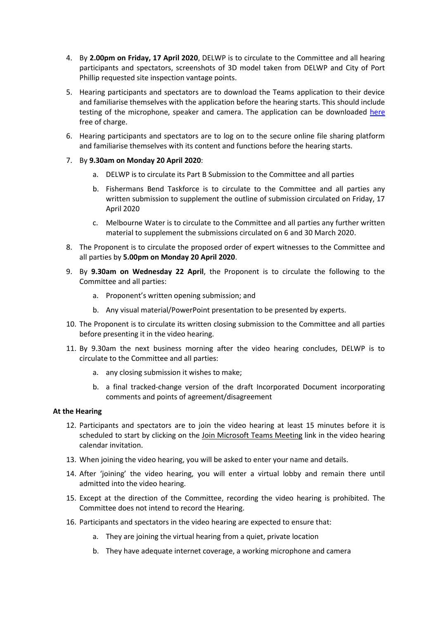- 4. By **2.00pm on Friday, 17 April 2020**, DELWP is to circulate to the Committee and all hearing participants and spectators, screenshots of 3D model taken from DELWP and City of Port Phillip requested site inspection vantage points.
- 5. Hearing participants and spectators are to download the Teams application to their device and familiarise themselves with the application before the hearing starts. This should include testing of the microphone, speaker and camera. The application can be downloaded [here](https://products.office.com/en-au/microsoft-teams/download-app) free of charge.
- 6. Hearing participants and spectators are to log on to the secure online file sharing platform and familiarise themselves with its content and functions before the hearing starts.
- 7. By **9.30am on Monday 20 April 2020**:
	- a. DELWP is to circulate its Part B Submission to the Committee and all parties
	- b. Fishermans Bend Taskforce is to circulate to the Committee and all parties any written submission to supplement the outline of submission circulated on Friday, 17 April 2020
	- c. Melbourne Water is to circulate to the Committee and all parties any further written material to supplement the submissions circulated on 6 and 30 March 2020.
- 8. The Proponent is to circulate the proposed order of expert witnesses to the Committee and all parties by **5.00pm on Monday 20 April 2020**.
- 9. By **9.30am on Wednesday 22 April**, the Proponent is to circulate the following to the Committee and all parties:
	- a. Proponent's written opening submission; and
	- b. Any visual material/PowerPoint presentation to be presented by experts.
- 10. The Proponent is to circulate its written closing submission to the Committee and all parties before presenting it in the video hearing.
- 11. By 9.30am the next business morning after the video hearing concludes, DELWP is to circulate to the Committee and all parties:
	- a. any closing submission it wishes to make;
	- b. a final tracked-change version of the draft Incorporated Document incorporating comments and points of agreement/disagreement

## **At the Hearing**

- 12. Participants and spectators are to join the video hearing at least 15 minutes before it is scheduled to start by clicking on the Join Microsoft Teams Meeting link in the video hearing calendar invitation.
- 13. When joining the video hearing, you will be asked to enter your name and details.
- 14. After 'joining' the video hearing, you will enter a virtual lobby and remain there until admitted into the video hearing.
- 15. Except at the direction of the Committee, recording the video hearing is prohibited. The Committee does not intend to record the Hearing.
- 16. Participants and spectators in the video hearing are expected to ensure that:
	- a. They are joining the virtual hearing from a quiet, private location
	- b. They have adequate internet coverage, a working microphone and camera